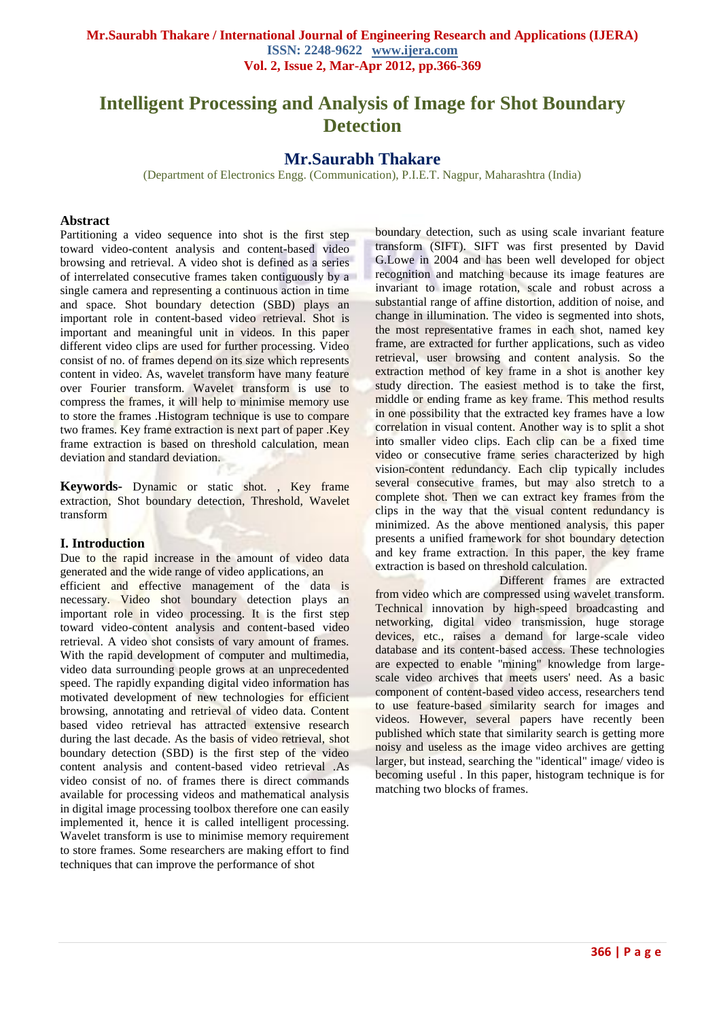# **Intelligent Processing and Analysis of Image for Shot Boundary Detection**

# **Mr.Saurabh Thakare**

(Department of Electronics Engg. (Communication), P.I.E.T. Nagpur, Maharashtra (India)

#### **Abstract**

Partitioning a video sequence into shot is the first step toward video-content analysis and content-based video browsing and retrieval. A video shot is defined as a series of interrelated consecutive frames taken contiguously by a single camera and representing a continuous action in time and space. Shot boundary detection (SBD) plays an important role in content-based video retrieval. Shot is important and meaningful unit in videos. In this paper different video clips are used for further processing. Video consist of no. of frames depend on its size which represents content in video. As, wavelet transform have many feature over Fourier transform. Wavelet transform is use to compress the frames, it will help to minimise memory use to store the frames .Histogram technique is use to compare two frames. Key frame extraction is next part of paper .Key frame extraction is based on threshold calculation, mean deviation and standard deviation.

**Keywords-** Dynamic or static shot. , Key frame extraction, Shot boundary detection, Threshold, Wavelet transform

#### **I. Introduction**

Due to the rapid increase in the amount of video data generated and the wide range of video applications, an efficient and effective management of the data is necessary. Video shot boundary detection plays an important role in video processing. It is the first step toward video-content analysis and content-based video retrieval. A video shot consists of vary amount of frames. With the rapid development of computer and multimedia, video data surrounding people grows at an unprecedented speed. The rapidly expanding digital video information has motivated development of new technologies for efficient browsing, annotating and retrieval of video data. Content based video retrieval has attracted extensive research during the last decade. As the basis of video retrieval, shot boundary detection (SBD) is the first step of the video content analysis and content-based video retrieval .As video consist of no. of frames there is direct commands available for processing videos and mathematical analysis in digital image processing toolbox therefore one can easily implemented it, hence it is called intelligent processing. Wavelet transform is use to minimise memory requirement to store frames. Some researchers are making effort to find techniques that can improve the performance of shot

boundary detection, such as using scale invariant feature transform (SIFT). SIFT was first presented by David G.Lowe in 2004 and has been well developed for object recognition and matching because its image features are invariant to image rotation, scale and robust across a substantial range of affine distortion, addition of noise, and change in illumination. The video is segmented into shots, the most representative frames in each shot, named key frame, are extracted for further applications, such as video retrieval, user browsing and content analysis. So the extraction method of key frame in a shot is another key study direction. The easiest method is to take the first, middle or ending frame as key frame. This method results in one possibility that the extracted key frames have a low correlation in visual content. Another way is to split a shot into smaller video clips. Each clip can be a fixed time video or consecutive frame series characterized by high vision-content redundancy. Each clip typically includes several consecutive frames, but may also stretch to a complete shot. Then we can extract key frames from the clips in the way that the visual content redundancy is minimized. As the above mentioned analysis, this paper presents a unified framework for shot boundary detection and key frame extraction. In this paper, the key frame extraction is based on threshold calculation.

 Different frames are extracted from video which are compressed using wavelet transform. Technical innovation by high-speed broadcasting and networking, digital video transmission, huge storage devices, etc., raises a demand for large-scale video database and its content-based access. These technologies are expected to enable ''mining" knowledge from largescale video archives that meets users' need. As a basic component of content-based video access, researchers tend to use feature-based similarity search for images and videos. However, several papers have recently been published which state that similarity search is getting more noisy and useless as the image video archives are getting larger, but instead, searching the "identical" image/ video is becoming useful . In this paper, histogram technique is for matching two blocks of frames.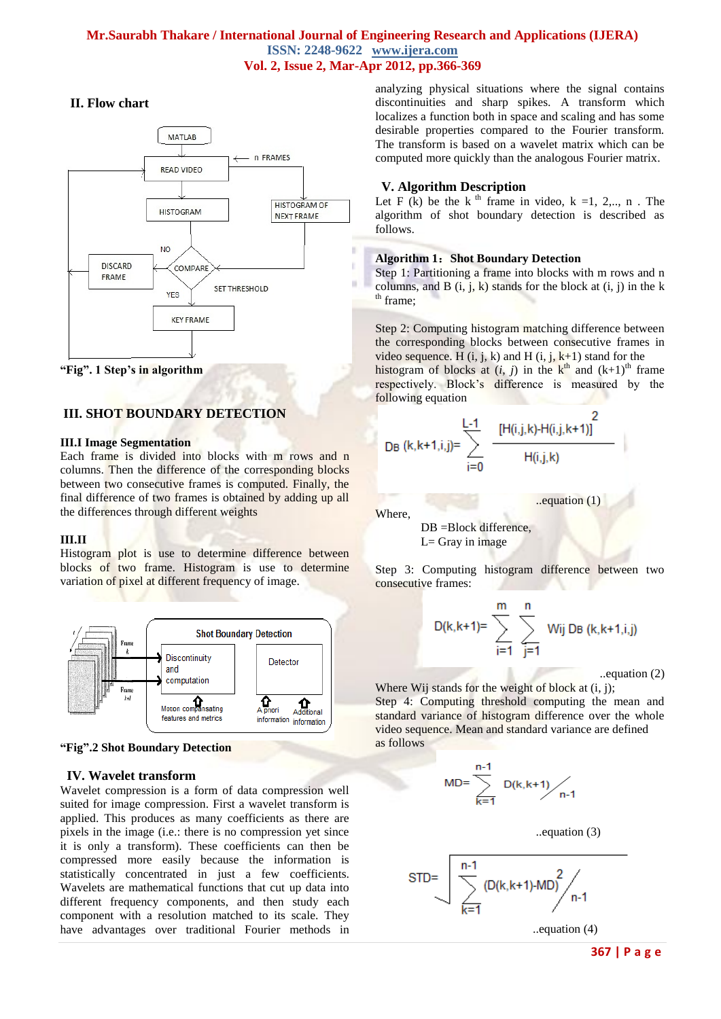# **Mr.Saurabh Thakare / International Journal of Engineering Research and Applications (IJERA) ISSN: 2248-9622 www.ijera.com Vol. 2, Issue 2, Mar-Apr 2012, pp.366-369**

# **II. Flow chart**





# **III. SHOT BOUNDARY DETECTION**

#### **III.I Image Segmentation**

Each frame is divided into blocks with m rows and n columns. Then the difference of the corresponding blocks between two consecutive frames is computed. Finally, the final difference of two frames is obtained by adding up all the differences through different weights

#### **III.II**

Histogram plot is use to determine difference between blocks of two frame. Histogram is use to determine variation of pixel at different frequency of image.



**"Fig".2 Shot Boundary Detection**

# **IV. Wavelet transform**

Wavelet compression is a form of data compression well suited for image compression. First a wavelet transform is applied. This produces as many coefficients as there are pixels in the image (i.e.: there is no compression yet since it is only a transform). These coefficients can then be compressed more easily because the information is statistically concentrated in just a few coefficients. Wavelets are mathematical functions that cut up data into different frequency components, and then study each component with a resolution matched to its scale. They have advantages over traditional Fourier methods in analyzing physical situations where the signal contains discontinuities and sharp spikes. A transform which localizes a function both in space and scaling and has some desirable properties compared to the Fourier transform. The transform is based on a wavelet matrix which can be computed more quickly than the analogous Fourier matrix.

# **V. Algorithm Description**

Let F  $(k)$  be the k<sup>th</sup> frame in video, k =1, 2,.., n. The algorithm of shot boundary detection is described as follows.

#### **Algorithm 1**:**Shot Boundary Detection**

Step 1: Partitioning a frame into blocks with m rows and n columns, and  $\overline{B}$  (i, j, k) stands for the block at (i, j) in the k <sup>th</sup> frame;

Step 2: Computing histogram matching difference between the corresponding blocks between consecutive frames in video sequence. H (i, j, k) and H (i, j,  $k+1$ ) stand for the

histogram of blocks at  $(i, j)$  in the  $k<sup>th</sup>$  and  $(k+1)<sup>th</sup>$  frame respectively. Block's difference is measured by the following equation

$$
DB (k, k+1, i, j) = \sum_{i=0}^{L-1} \frac{[H(i, j, k) - H(i, j, k+1)]^2}{H(i, j, k)}
$$

Where,

DB =Block difference,

 $L=$  Gray in image

Step 3: Computing histogram difference between two consecutive frames:

$$
D(k,k+1)=\sum_{i=1}^m \sum_{j=1}^n \text{ Wij } DB \ (k,k+1,i,j)
$$

..equation (1)

..equation (2)

Where Wij stands for the weight of block at  $(i, j)$ ; Step 4: Computing threshold computing the mean and standard variance of histogram difference over the whole video sequence. Mean and standard variance are defined as follows

$$
1D = \sum_{k=1}^{n-1} D(k, k+1) / \sum_{n-1}
$$

N



..equation (4)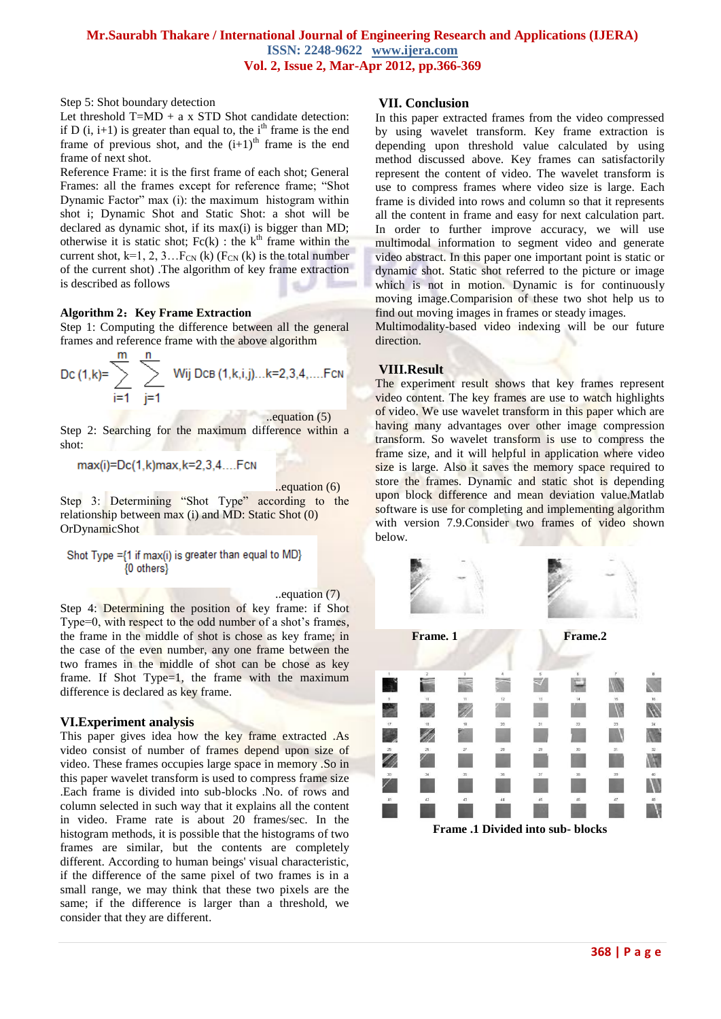#### **Mr.Saurabh Thakare / International Journal of Engineering Research and Applications (IJERA) ISSN: 2248-9622 www.ijera.com Vol. 2, Issue 2, Mar-Apr 2012, pp.366-369**

Step 5: Shot boundary detection

Let threshold  $T=MD + a x STD$  Shot candidate detection: if D  $(i, i+1)$  is greater than equal to, the i<sup>th</sup> frame is the end frame of previous shot, and the  $(i+1)$ <sup>th</sup> frame is the end frame of next shot.

Reference Frame: it is the first frame of each shot; General Frames: all the frames except for reference frame; "Shot Dynamic Factor" max (i): the maximum histogram within shot i; Dynamic Shot and Static Shot: a shot will be declared as dynamic shot, if its max(i) is bigger than MD; otherwise it is static shot;  $Fc(k)$ : the  $k<sup>th</sup>$  frame within the current shot,  $k=1, 2, 3...F_{CN}$  (k) ( $F_{CN}$  (k) is the total number of the current shot) .The algorithm of key frame extraction is described as follows

#### **Algorithm 2**:**Key Frame Extraction**

Step 1: Computing the difference between all the general frames and reference frame with the above algorithm

$$
\text{DC (1, k)} = \sum_{i=1}^{m} \sum_{j=1}^{n} \text{Wij DEB (1, k, i, j)...k=2,3,4,...}. \text{Fcn}
$$

 ..equation (5) Step 2: Searching for the maximum difference within a shot:

 $max(i)=Dc(1,k)max,k=2,3,4....Fcn$ 

..equation (6)

Step 3: Determining "Shot Type" according to the relationship between max (i) and MD: Static Shot (0) OrDynamicShot

Shot Type = {1 if max(i) is greater than equal to MD} {0 others}

..equation (7)

Step 4: Determining the position of key frame: if Shot Type=0, with respect to the odd number of a shot's frames, the frame in the middle of shot is chose as key frame; in the case of the even number, any one frame between the two frames in the middle of shot can be chose as key frame. If Shot Type=1, the frame with the maximum difference is declared as key frame.

# **VI.Experiment analysis**

This paper gives idea how the key frame extracted .As video consist of number of frames depend upon size of video. These frames occupies large space in memory .So in this paper wavelet transform is used to compress frame size .Each frame is divided into sub-blocks .No. of rows and column selected in such way that it explains all the content in video. Frame rate is about 20 frames/sec. In the histogram methods, it is possible that the histograms of two frames are similar, but the contents are completely different. According to human beings' visual characteristic, if the difference of the same pixel of two frames is in a small range, we may think that these two pixels are the same; if the difference is larger than a threshold, we consider that they are different.

#### **VII. Conclusion**

In this paper extracted frames from the video compressed by using wavelet transform. Key frame extraction is depending upon threshold value calculated by using method discussed above. Key frames can satisfactorily represent the content of video. The wavelet transform is use to compress frames where video size is large. Each frame is divided into rows and column so that it represents all the content in frame and easy for next calculation part. In order to further improve accuracy, we will use multimodal information to segment video and generate video abstract. In this paper one important point is static or dynamic shot. Static shot referred to the picture or image which is not in motion. Dynamic is for continuously moving image.Comparision of these two shot help us to find out moving images in frames or steady images.

Multimodality-based video indexing will be our future direction.

#### **VIII.Result**

The experiment result shows that key frames represent video content. The key frames are use to watch highlights of video. We use wavelet transform in this paper which are having many advantages over other image compression transform. So wavelet transform is use to compress the frame size, and it will helpful in application where video size is large. Also it saves the memory space required to store the frames. Dynamic and static shot is depending upon block difference and mean deviation value.Matlab software is use for completing and implementing algorithm with version 7.9.Consider two frames of video shown below.